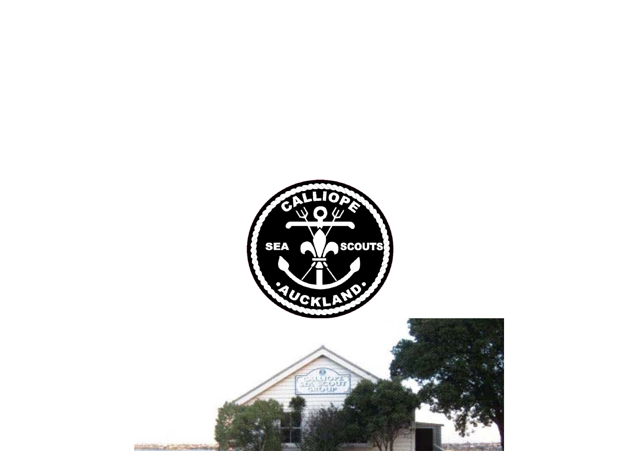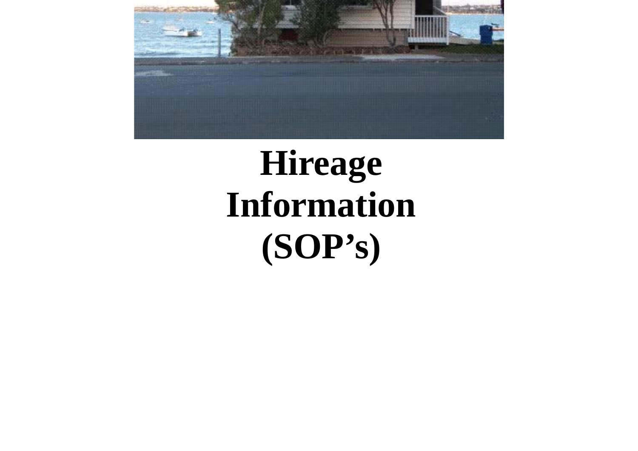

# **Hireage Information (SOP's)**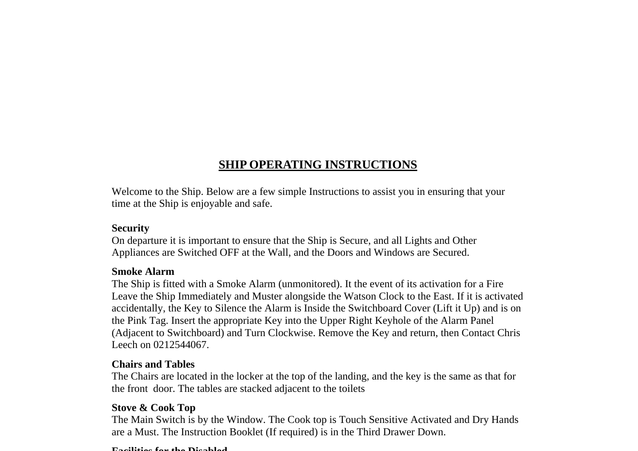## **SHIP OPERATING INSTRUCTIONS**

Welcome to the Ship. Below are a few simple Instructions to assist you in ensuring that your time at the Ship is enjoyable and safe.

#### **Security**

On departure it is important to ensure that the Ship is Secure, and all Lights and Other Appliances are Switched OFF at the Wall, and the Doors and Windows are Secured.

#### **Smoke Alarm**

The Ship is fitted with a Smoke Alarm (unmonitored). It the event of its activation for a Fire Leave the Ship Immediately and Muster alongside the Watson Clock to the East. If it is activated accidentally, the Key to Silence the Alarm is Inside the Switchboard Cover (Lift it Up) and is on the Pink Tag. Insert the appropriate Key into the Upper Right Keyhole of the Alarm Panel (Adjacent to Switchboard) and Turn Clockwise. Remove the Key and return, then Contact Chris Leech on 0212544067.

#### **Chairs and Tables**

The Chairs are located in the locker at the top of the landing, and the key is the same as that for the front door. The tables are stacked adjacent to the toilets

#### **Stove & Cook Top**

The Main Switch is by the Window. The Cook top is Touch Sensitive Activated and Dry Hands are a Must. The Instruction Booklet (If required) is in the Third Drawer Down.

#### **Facilities for the Disabled**